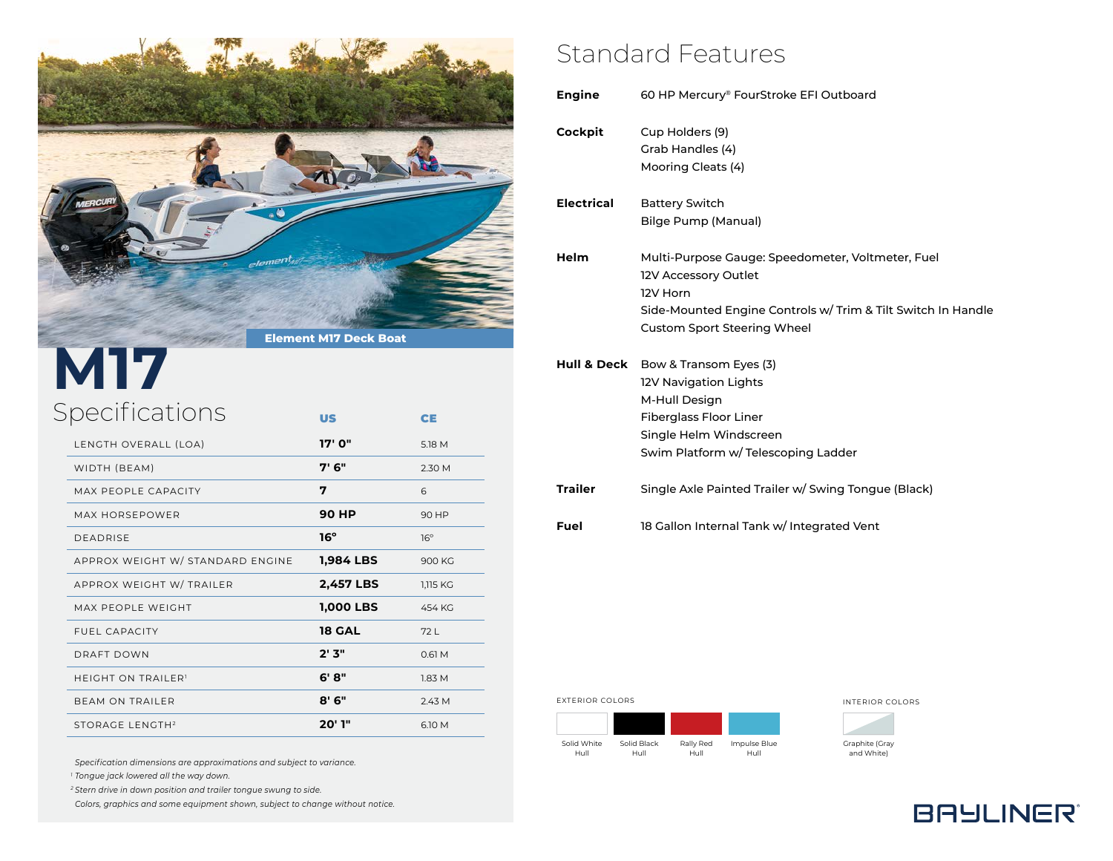

## Specifications **M17**

| LENGTH OVERALL (LOA)             | 17' O"           | 5.18 M     |
|----------------------------------|------------------|------------|
| WIDTH (BEAM)                     | 7' 6"            | 2.30 M     |
| MAX PEOPLE CAPACITY              | 7                | 6          |
| MAX HORSEPOWER                   | 90 HP            | 90 HP      |
| <b>DEADRISE</b>                  | 16°              | $16^\circ$ |
| APPROX WEIGHT W/ STANDARD ENGINE | 1,984 LBS        | 900 KG     |
| APPROX WEIGHT W/ TRAILER         | <b>2,457 LBS</b> | 1,115 KG   |
| MAX PEOPLE WEIGHT                | <b>1,000 LBS</b> | 454 KG     |
| <b>FUEL CAPACITY</b>             | <b>18 GAL</b>    | 72 L       |
| DRAFT DOWN                       | 2'3"             | 0.61M      |
| <b>HEIGHT ON TRAILER'</b>        | 6'8"             | 1.83 M     |
| <b>BEAM ON TRAILER</b>           | $8'$ 6"          | 2.43 M     |
| STORAGE LENGTH <sup>2</sup>      | 20' 1"           | 6.10 M     |
|                                  |                  |            |

US CE

#### *Specification dimensions are approximations and subject to variance.*

*<sup>1</sup> Tongue jack lowered all the way down.*

*<sup>2</sup> Stern drive in down position and trailer tongue swung to side.*

*Colors, graphics and some equipment shown, subject to change without notice.*

## Standard Features

| <b>Engine</b>     | 60 HP Mercury® FourStroke EFI Outboard                                                                                                                                                      |
|-------------------|---------------------------------------------------------------------------------------------------------------------------------------------------------------------------------------------|
| Cockpit           | Cup Holders (9)<br>Grab Handles (4)<br>Mooring Cleats (4)                                                                                                                                   |
| <b>Electrical</b> | <b>Battery Switch</b><br><b>Bilge Pump (Manual)</b>                                                                                                                                         |
| Helm              | Multi-Purpose Gauge: Speedometer, Voltmeter, Fuel<br>12V Accessory Outlet<br>12V Horn<br>Side-Mounted Engine Controls w/ Trim & Tilt Switch In Handle<br><b>Custom Sport Steering Wheel</b> |
| Hull & Deck       | Bow & Transom Eyes (3)<br>12V Navigation Lights<br>M-Hull Design<br><b>Fiberglass Floor Liner</b><br>Single Helm Windscreen<br>Swim Platform w/ Telescoping Ladder                          |
| <b>Trailer</b>    | Single Axle Painted Trailer w/ Swing Tongue (Black)                                                                                                                                         |
| Fuel              | 18 Gallon Internal Tank w/ Integrated Vent                                                                                                                                                  |
|                   |                                                                                                                                                                                             |

EXTERIOR COLORS **INTERIOR COLORS** 

Solid White Hull Solid Black Hull Rally Red Hull Impulse Blue Hull

Graphite (Gray and White)

**BAYLINER®**